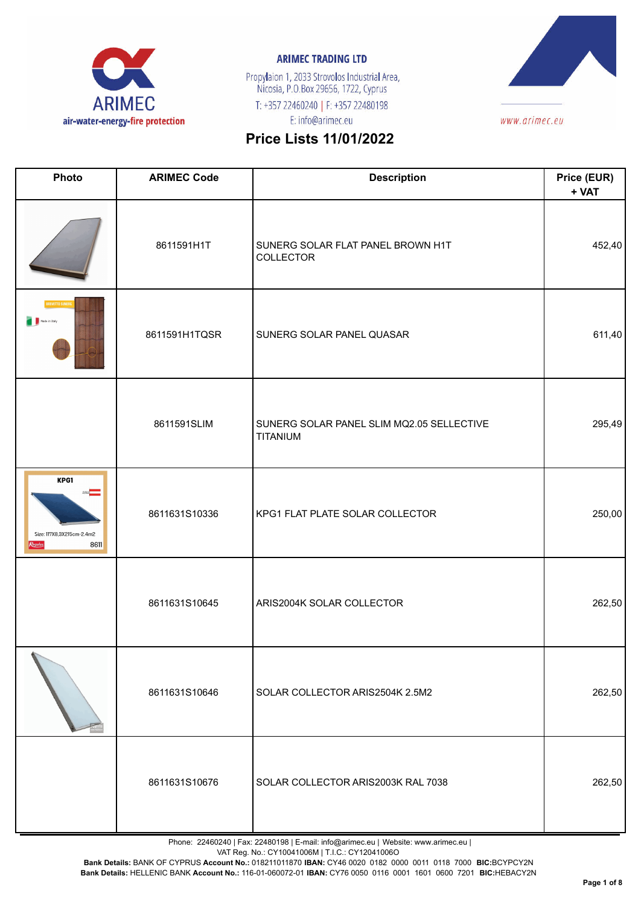

Propylaion 1, 2033 Strovolos Industrial Area,<br>Nicosia, P.O.Box 29656, 1722, Cyprus T: +357 22460240 | F: +357 22480198 E: info@arimec.eu



# **Price Lists 11/01/2022**

| Photo                                                | <b>ARIMEC Code</b> | <b>Description</b>                                    | Price (EUR)<br>+ VAT |
|------------------------------------------------------|--------------------|-------------------------------------------------------|----------------------|
|                                                      | 8611591H1T         | SUNERG SOLAR FLAT PANEL BROWN H1T<br>COLLECTOR        | 452,40               |
| <b>REVETTO SU</b><br>Made in Italy                   | 8611591H1TQSR      | SUNERG SOLAR PANEL QUASAR                             | 611,40               |
|                                                      | 8611591SLIM        | SUNERG SOLAR PANEL SLIM MQ2.05 SELLECTIVE<br>TITANIUM | 295,49               |
| KPG1<br>Size: 117X8,3X215cm-2.4m2<br>8611<br>Regulus | 8611631S10336      | KPG1 FLAT PLATE SOLAR COLLECTOR                       | 250,00               |
|                                                      | 8611631S10645      | ARIS2004K SOLAR COLLECTOR                             | 262,50               |
|                                                      | 8611631S10646      | SOLAR COLLECTOR ARIS2504K 2.5M2                       | 262,50               |
|                                                      | 8611631S10676      | SOLAR COLLECTOR ARIS2003K RAL 7038                    | 262,50               |

Phone: 22460240 | Fax: 22480198 | E-mail: info@arimec.eu | Website: www.arimec.eu |

VAT Reg. No.: CY10041006M | T.I.C.: CY12041006O

**Bank Details:** BANK OF CYPRUS **Account No.:** 018211011870 **IBAN:** CY46 0020 0182 0000 0011 0118 7000 **BIC:**BCYPCY2N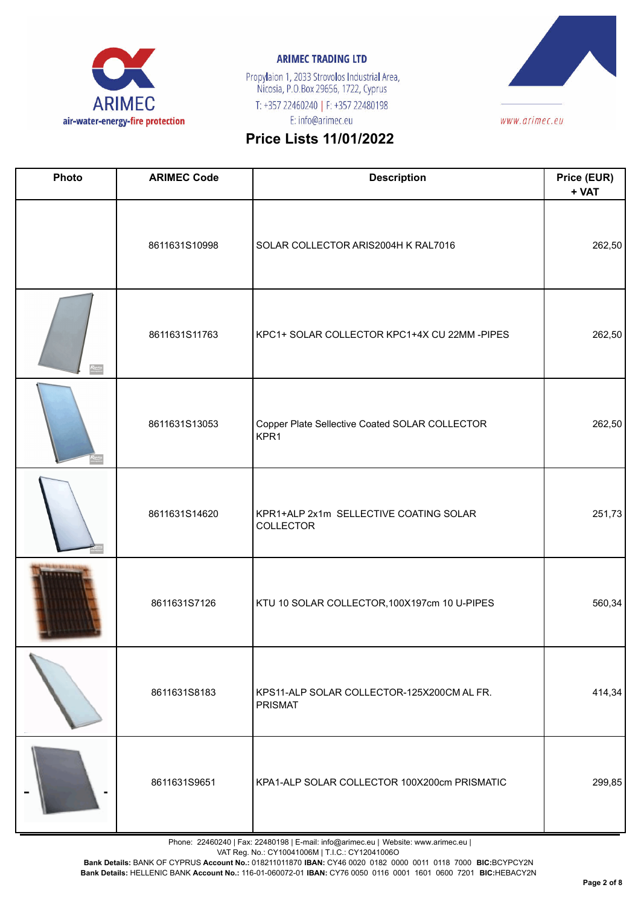

Propylaion 1, 2033 Strovolos Industrial Area,<br>Nicosia, P.O.Box 29656, 1722, Cyprus T: +357 22460240 | F: +357 22480198 E: info@arimec.eu



# **Price Lists 11/01/2022**

| Photo              | <b>ARIMEC Code</b> | <b>Description</b>                                     | Price (EUR)<br>+ VAT |
|--------------------|--------------------|--------------------------------------------------------|----------------------|
|                    | 8611631S10998      | SOLAR COLLECTOR ARIS2004H K RAL7016                    | 262,50               |
| Regulus<br>waxaans | 8611631S11763      | KPC1+ SOLAR COLLECTOR KPC1+4X CU 22MM -PIPES           | 262,50               |
|                    | 8611631S13053      | Copper Plate Sellective Coated SOLAR COLLECTOR<br>KPR1 | 262,50               |
|                    | 8611631S14620      | KPR1+ALP 2x1m SELLECTIVE COATING SOLAR<br>COLLECTOR    | 251,73               |
|                    | 8611631S7126       | KTU 10 SOLAR COLLECTOR, 100X197cm 10 U-PIPES           | 560,34               |
|                    | 8611631S8183       | KPS11-ALP SOLAR COLLECTOR-125X200CM AL FR.<br>PRISMAT  | 414,34               |
|                    | 8611631S9651       | KPA1-ALP SOLAR COLLECTOR 100X200cm PRISMATIC           | 299,85               |

Phone: 22460240 | Fax: 22480198 | E-mail: info@arimec.eu | Website: www.arimec.eu |

VAT Reg. No.: CY10041006M | T.I.C.: CY12041006O

**Bank Details:** BANK OF CYPRUS **Account No.:** 018211011870 **IBAN:** CY46 0020 0182 0000 0011 0118 7000 **BIC:**BCYPCY2N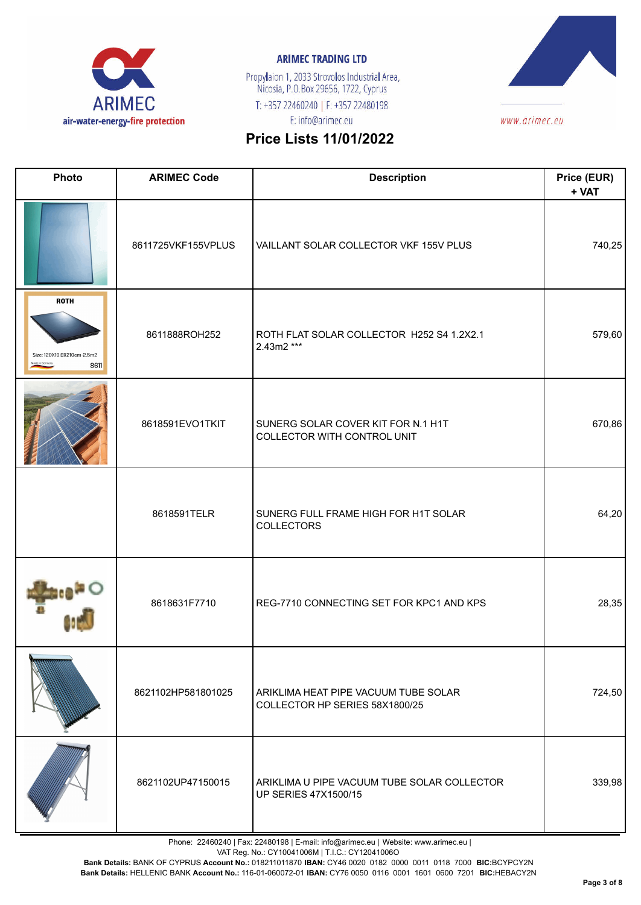

Propylaion 1, 2033 Strovolos Industrial Area,<br>Nicosia, P.O.Box 29656, 1722, Cyprus T: +357 22460240 | F: +357 22480198 E: info@arimec.eu



# **Price Lists 11/01/2022**

| Photo                                             | <b>ARIMEC Code</b> | <b>Description</b>                                                         | Price (EUR)<br>+ VAT |
|---------------------------------------------------|--------------------|----------------------------------------------------------------------------|----------------------|
|                                                   | 8611725VKF155VPLUS | VAILLANT SOLAR COLLECTOR VKF 155V PLUS                                     | 740,25               |
| <b>ROTH</b><br>Size: 120X10.9X210cm-2.5m2<br>8611 | 8611888ROH252      | ROTH FLAT SOLAR COLLECTOR H252 S4 1.2X2.1<br>2.43m2 ***                    | 579,60               |
|                                                   | 8618591EVO1TKIT    | SUNERG SOLAR COVER KIT FOR N.1 H1T<br>COLLECTOR WITH CONTROL UNIT          | 670,86               |
|                                                   | 8618591TELR        | SUNERG FULL FRAME HIGH FOR H1T SOLAR<br><b>COLLECTORS</b>                  | 64,20                |
|                                                   | 8618631F7710       | REG-7710 CONNECTING SET FOR KPC1 AND KPS                                   | 28,35                |
|                                                   | 8621102HP581801025 | ARIKLIMA HEAT PIPE VACUUM TUBE SOLAR<br>COLLECTOR HP SERIES 58X1800/25     | 724,50               |
|                                                   | 8621102UP47150015  | ARIKLIMA U PIPE VACUUM TUBE SOLAR COLLECTOR<br><b>UP SERIES 47X1500/15</b> | 339,98               |

Phone: 22460240 | Fax: 22480198 | E-mail: info@arimec.eu | Website: www.arimec.eu |

VAT Reg. No.: CY10041006M | T.I.C.: CY12041006O

**Bank Details:** BANK OF CYPRUS **Account No.:** 018211011870 **IBAN:** CY46 0020 0182 0000 0011 0118 7000 **BIC:**BCYPCY2N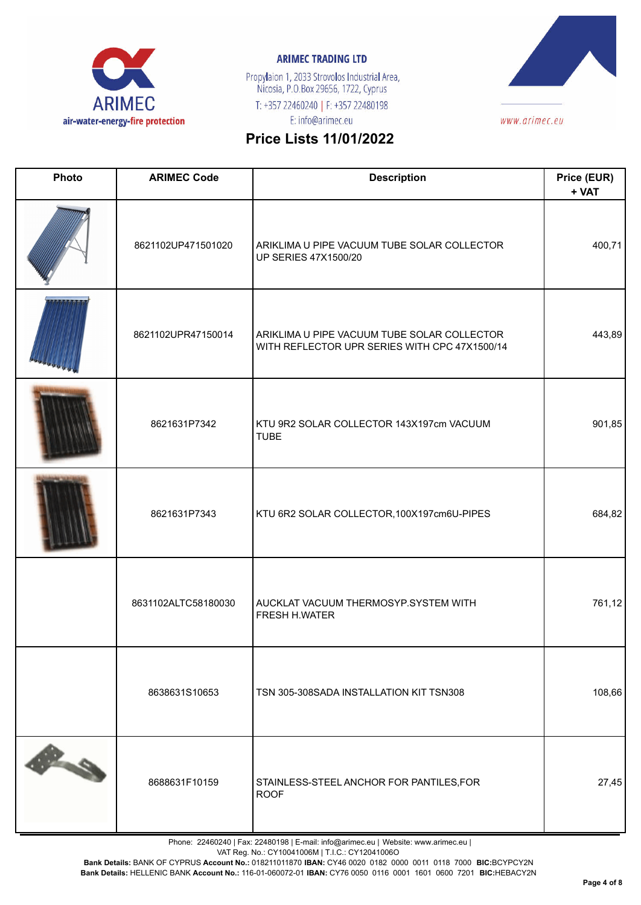

Propylaion 1, 2033 Strovolos Industrial Area,<br>Nicosia, P.O.Box 29656, 1722, Cyprus T: +357 22460240 | F: +357 22480198 E: info@arimec.eu



# **Price Lists 11/01/2022**

| Photo | <b>ARIMEC Code</b>  | <b>Description</b>                                                                           | Price (EUR)<br>+ VAT |
|-------|---------------------|----------------------------------------------------------------------------------------------|----------------------|
|       | 8621102UP471501020  | ARIKLIMA U PIPE VACUUM TUBE SOLAR COLLECTOR<br><b>UP SERIES 47X1500/20</b>                   | 400,71               |
|       | 8621102UPR47150014  | ARIKLIMA U PIPE VACUUM TUBE SOLAR COLLECTOR<br>WITH REFLECTOR UPR SERIES WITH CPC 47X1500/14 | 443,89               |
|       | 8621631P7342        | KTU 9R2 SOLAR COLLECTOR 143X197cm VACUUM<br><b>TUBE</b>                                      | 901,85               |
|       | 8621631P7343        | KTU 6R2 SOLAR COLLECTOR, 100X197cm6U-PIPES                                                   | 684,82               |
|       | 8631102ALTC58180030 | AUCKLAT VACUUM THERMOSYP.SYSTEM WITH<br>FRESH H.WATER                                        | 761,12               |
|       | 8638631S10653       | TSN 305-308SADA INSTALLATION KIT TSN308                                                      | 108,66               |
|       | 8688631F10159       | STAINLESS-STEEL ANCHOR FOR PANTILES, FOR<br><b>ROOF</b>                                      | 27,45                |

Phone: 22460240 | Fax: 22480198 | E-mail: info@arimec.eu | Website: www.arimec.eu |

VAT Reg. No.: CY10041006M | T.I.C.: CY12041006O

**Bank Details:** BANK OF CYPRUS **Account No.:** 018211011870 **IBAN:** CY46 0020 0182 0000 0011 0118 7000 **BIC:**BCYPCY2N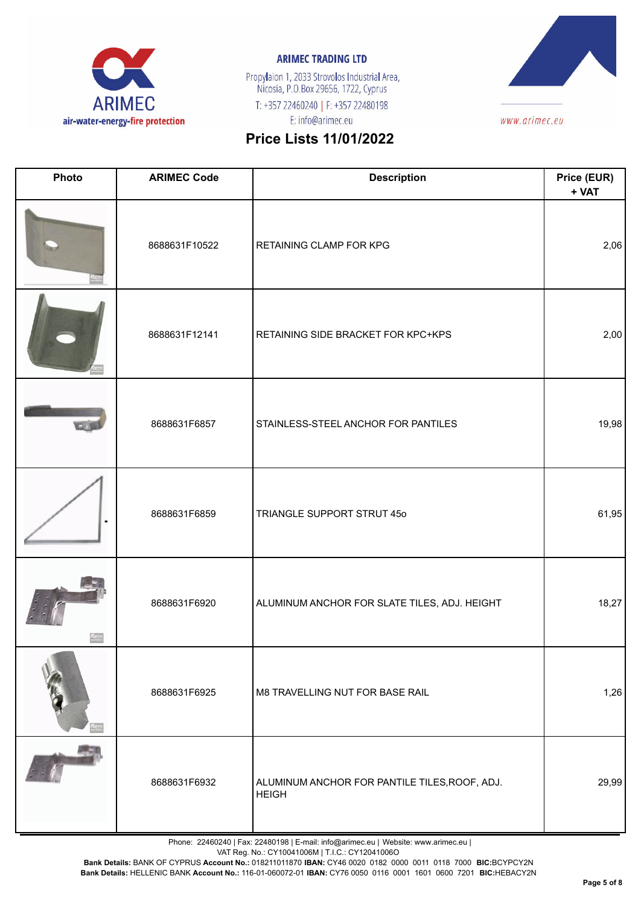

Propylaion 1, 2033 Strovolos Industrial Area,<br>Nicosia, P.O.Box 29656, 1722, Cyprus T: +357 22460240 | F: +357 22480198 E: info@arimec.eu



# **Price Lists 11/01/2022**

| Photo | <b>ARIMEC Code</b> | <b>Description</b>                                            | Price (EUR)<br>+ VAT |
|-------|--------------------|---------------------------------------------------------------|----------------------|
|       | 8688631F10522      | RETAINING CLAMP FOR KPG                                       | 2,06                 |
|       | 8688631F12141      | RETAINING SIDE BRACKET FOR KPC+KPS                            | 2,00                 |
|       | 8688631F6857       | STAINLESS-STEEL ANCHOR FOR PANTILES                           | 19,98                |
|       | 8688631F6859       | TRIANGLE SUPPORT STRUT 45o                                    | 61,95                |
|       | 8688631F6920       | ALUMINUM ANCHOR FOR SLATE TILES, ADJ. HEIGHT                  | 18,27                |
|       | 8688631F6925       | M8 TRAVELLING NUT FOR BASE RAIL                               | 1,26                 |
|       | 8688631F6932       | ALUMINUM ANCHOR FOR PANTILE TILES, ROOF, ADJ.<br><b>HEIGH</b> | 29,99                |

Phone: 22460240 | Fax: 22480198 | E-mail: info@arimec.eu | Website: www.arimec.eu |

VAT Reg. No.: CY10041006M | T.I.C.: CY12041006O

**Bank Details:** BANK OF CYPRUS **Account No.:** 018211011870 **IBAN:** CY46 0020 0182 0000 0011 0118 7000 **BIC:**BCYPCY2N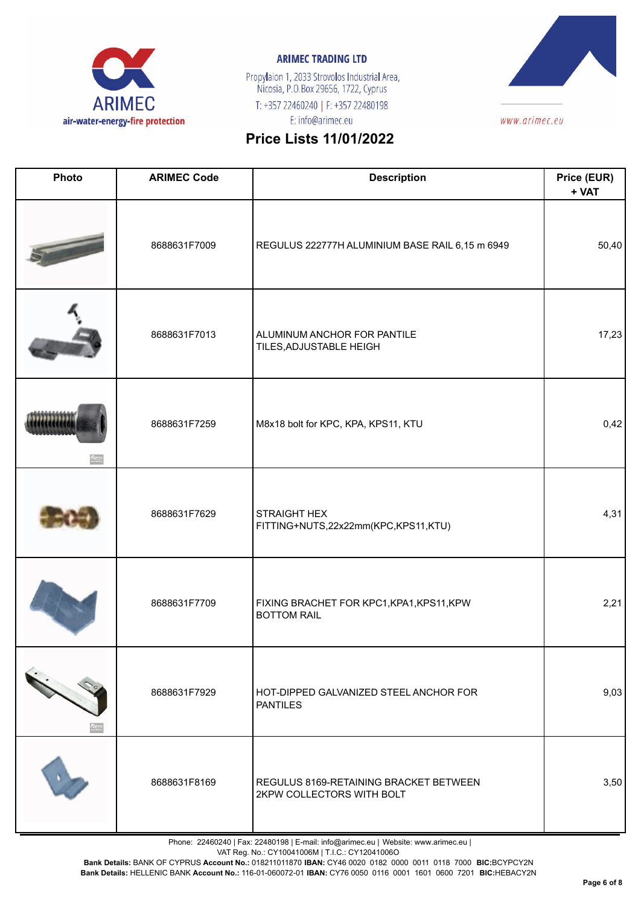

Propylaion 1, 2033 Strovolos Industrial Area,<br>Nicosia, P.O.Box 29656, 1722, Cyprus T: +357 22460240 | F: +357 22480198 E: info@arimec.eu



# **Price Lists 11/01/2022**

| Photo | <b>ARIMEC Code</b> | <b>Description</b>                                                  | Price (EUR)<br>+ VAT |
|-------|--------------------|---------------------------------------------------------------------|----------------------|
|       | 8688631F7009       | REGULUS 222777H ALUMINIUM BASE RAIL 6,15 m 6949                     | 50,40                |
|       | 8688631F7013       | ALUMINUM ANCHOR FOR PANTILE<br>TILES, ADJUSTABLE HEIGH              | 17,23                |
|       | 8688631F7259       | M8x18 bolt for KPC, KPA, KPS11, KTU                                 | 0,42                 |
|       | 8688631F7629       | <b>STRAIGHT HEX</b><br>FITTING+NUTS,22x22mm(KPC,KPS11,KTU)          | 4,31                 |
|       | 8688631F7709       | FIXING BRACHET FOR KPC1, KPA1, KPS11, KPW<br><b>BOTTOM RAIL</b>     | 2,21                 |
|       | 8688631F7929       | HOT-DIPPED GALVANIZED STEEL ANCHOR FOR<br><b>PANTILES</b>           | 9,03                 |
|       | 8688631F8169       | REGULUS 8169-RETAINING BRACKET BETWEEN<br>2KPW COLLECTORS WITH BOLT | 3,50                 |

Phone: 22460240 | Fax: 22480198 | E-mail: info@arimec.eu | Website: www.arimec.eu |

VAT Reg. No.: CY10041006M | T.I.C.: CY12041006O

**Bank Details:** BANK OF CYPRUS **Account No.:** 018211011870 **IBAN:** CY46 0020 0182 0000 0011 0118 7000 **BIC:**BCYPCY2N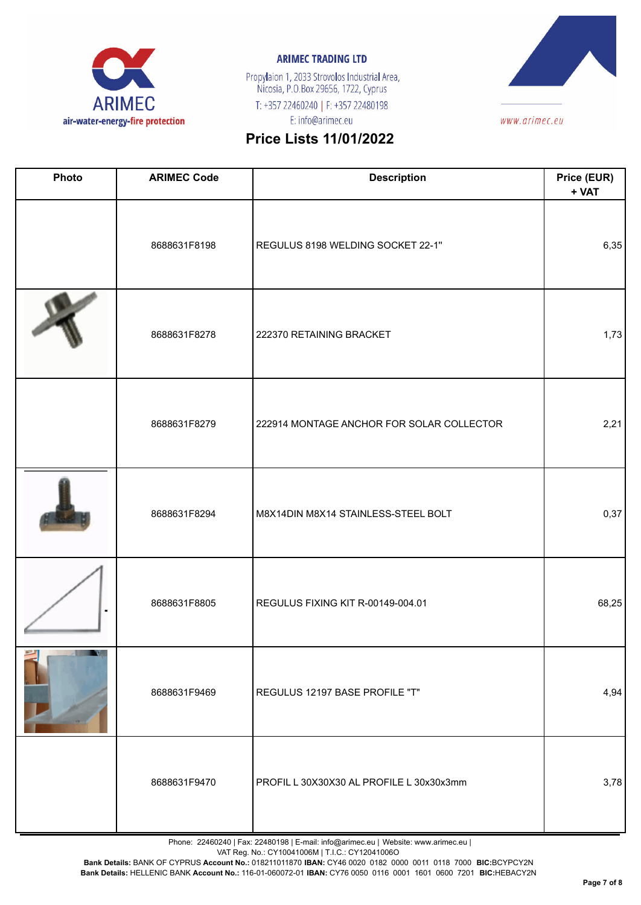

Propylaion 1, 2033 Strovolos Industrial Area,<br>Nicosia, P.O.Box 29656, 1722, Cyprus T: +357 22460240 | F: +357 22480198 E: info@arimec.eu



# **Price Lists 11/01/2022**

| Photo | <b>ARIMEC Code</b> | <b>Description</b>                        | Price (EUR)<br>+ VAT |
|-------|--------------------|-------------------------------------------|----------------------|
|       | 8688631F8198       | REGULUS 8198 WELDING SOCKET 22-1"         | 6,35                 |
|       | 8688631F8278       | 222370 RETAINING BRACKET                  | 1,73                 |
|       | 8688631F8279       | 222914 MONTAGE ANCHOR FOR SOLAR COLLECTOR | 2,21                 |
|       | 8688631F8294       | M8X14DIN M8X14 STAINLESS-STEEL BOLT       | 0,37                 |
|       | 8688631F8805       | REGULUS FIXING KIT R-00149-004.01         | 68,25                |
|       | 8688631F9469       | REGULUS 12197 BASE PROFILE "T"            | 4,94                 |
|       | 8688631F9470       | PROFIL L 30X30X30 AL PROFILE L 30x30x3mm  | 3,78                 |

Phone: 22460240 | Fax: 22480198 | E-mail: info@arimec.eu | Website: www.arimec.eu |

VAT Reg. No.: CY10041006M | T.I.C.: CY12041006O

**Bank Details:** BANK OF CYPRUS **Account No.:** 018211011870 **IBAN:** CY46 0020 0182 0000 0011 0118 7000 **BIC:**BCYPCY2N